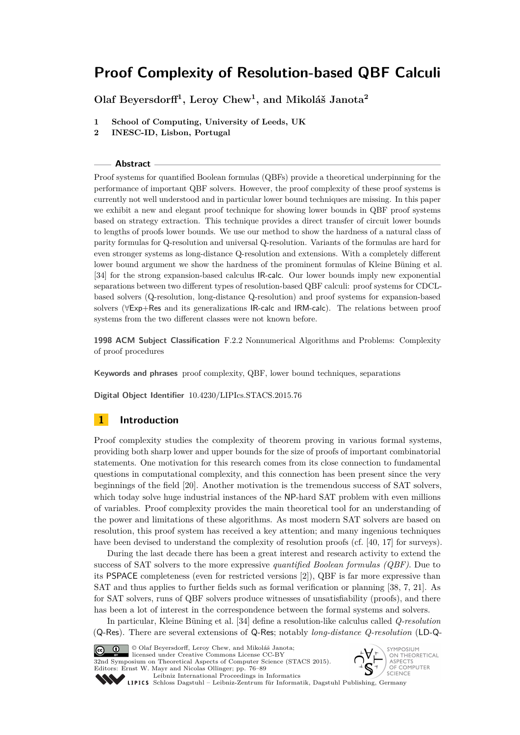# **Olaf Beyersdorff<sup>1</sup> , Leroy Chew<sup>1</sup> , and Mikoláš Janota<sup>2</sup>**

- **1 School of Computing, University of Leeds, UK**
- **2 INESC-ID, Lisbon, Portugal**

#### **Abstract**

Proof systems for quantified Boolean formulas (QBFs) provide a theoretical underpinning for the performance of important QBF solvers. However, the proof complexity of these proof systems is currently not well understood and in particular lower bound techniques are missing. In this paper we exhibit a new and elegant proof technique for showing lower bounds in QBF proof systems based on strategy extraction. This technique provides a direct transfer of circuit lower bounds to lengths of proofs lower bounds. We use our method to show the hardness of a natural class of parity formulas for Q-resolution and universal Q-resolution. Variants of the formulas are hard for even stronger systems as long-distance Q-resolution and extensions. With a completely different lower bound argument we show the hardness of the prominent formulas of Kleine Büning et al. [34] for the strong expansion-based calculus IR-calc. Our lower bounds imply new exponential separations between two different types of resolution-based QBF calculi: proof systems for CDCLbased solvers (Q-resolution, long-distance Q-resolution) and proof systems for expansion-based solvers (∀Exp+Res and its generalizations IR-calc and IRM-calc). The relations between proof systems from the two different classes were not known before.

**1998 ACM Subject Classification** F.2.2 Nonnumerical Algorithms and Problems: Complexity of proof procedures

**Keywords and phrases** proof complexity, QBF, lower bound techniques, separations

**Digital Object Identifier** [10.4230/LIPIcs.STACS.2015.76](http://dx.doi.org/10.4230/LIPIcs.STACS.2015.76)

# **1 Introduction**

Proof complexity studies the complexity of theorem proving in various formal systems, providing both sharp lower and upper bounds for the size of proofs of important combinatorial statements. One motivation for this research comes from its close connection to fundamental questions in computational complexity, and this connection has been present since the very beginnings of the field [\[20\]](#page-12-0). Another motivation is the tremendous success of SAT solvers, which today solve huge industrial instances of the NP-hard SAT problem with even millions of variables. Proof complexity provides the main theoretical tool for an understanding of the power and limitations of these algorithms. As most modern SAT solvers are based on resolution, this proof system has received a key attention; and many ingenious techniques have been devised to understand the complexity of resolution proofs (cf. [\[40,](#page-13-0) [17\]](#page-12-1) for surveys).

During the last decade there has been a great interest and research activity to extend the success of SAT solvers to the more expressive *quantified Boolean formulas (QBF)*. Due to its PSPACE completeness (even for restricted versions [\[2\]](#page-12-2)), QBF is far more expressive than SAT and thus applies to further fields such as formal verification or planning [\[38,](#page-13-1) [7,](#page-12-3) [21\]](#page-12-4). As for SAT solvers, runs of QBF solvers produce witnesses of unsatisfiability (proofs), and there has been a lot of interest in the correspondence between the formal systems and solvers.

In particular, Kleine Büning et al. [\[34\]](#page-13-2) define a resolution-like calculus called *Q-resolution* (Q-Res). There are several extensions of Q-Res; notably *long-distance Q-resolution* (LD-Q-



© Olaf Beyersdorff, Leroy Chew, and Mikoláš Janota;

licensed under Creative Commons License CC-BY 32nd Symposium on Theoretical Aspects of Computer Science (STACS 2015). Editors: Ernst W. Mayr and Nicolas Ollinger; pp. 76[–89](#page-13-3)

[Leibniz International Proceedings in Informatics](http://www.dagstuhl.de/lipics/)



Leibniz international ruceedings in miorimetric<br>
LIPICS [Schloss Dagstuhl – Leibniz-Zentrum für Informatik, Dagstuhl Publishing, Germany](http://www.dagstuhl.de)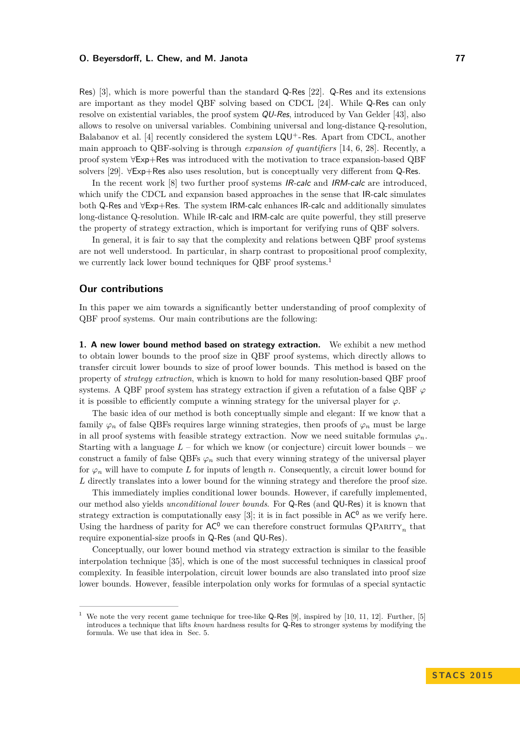Res) [\[3\]](#page-12-5), which is more powerful than the standard Q-Res [\[22\]](#page-13-4). Q-Res and its extensions are important as they model QBF solving based on CDCL [\[24\]](#page-13-5). While Q-Res can only resolve on existential variables, the proof system QU-Res, introduced by Van Gelder [\[43\]](#page-13-6), also allows to resolve on universal variables. Combining universal and long-distance Q-resolution, Balabanov et al. [\[4\]](#page-12-6) recently considered the system  $LQU^{+}$ -Res. Apart from CDCL, another main approach to QBF-solving is through *expansion of quantifiers* [\[14,](#page-12-7) [6,](#page-12-8) [28\]](#page-13-7). Recently, a proof system ∀Exp+Res was introduced with the motivation to trace expansion-based QBF solvers [\[29\]](#page-13-8). ∀Exp+Res also uses resolution, but is conceptually very different from Q-Res.

In the recent work [\[8\]](#page-12-9) two further proof systems *IR-calc* and *IRM-calc* are introduced, which unify the CDCL and expansion based approaches in the sense that IR-calc simulates both Q-Res and ∀Exp+Res. The system IRM-calc enhances IR-calc and additionally simulates long-distance Q-resolution. While IR-calc and IRM-calc are quite powerful, they still preserve the property of strategy extraction, which is important for verifying runs of QBF solvers.

In general, it is fair to say that the complexity and relations between QBF proof systems are not well understood. In particular, in sharp contrast to propositional proof complexity, we currently lack lower bound techniques for QBF proof systems.<sup>[1](#page-1-0)</sup>

## **Our contributions**

In this paper we aim towards a significantly better understanding of proof complexity of QBF proof systems. Our main contributions are the following:

**1. A new lower bound method based on strategy extraction.** We exhibit a new method to obtain lower bounds to the proof size in QBF proof systems, which directly allows to transfer circuit lower bounds to size of proof lower bounds. This method is based on the property of *strategy extraction*, which is known to hold for many resolution-based QBF proof systems. A QBF proof system has strategy extraction if given a refutation of a false QBF  $\varphi$ it is possible to efficiently compute a winning strategy for the universal player for  $\varphi$ .

The basic idea of our method is both conceptually simple and elegant: If we know that a family  $\varphi_n$  of false QBFs requires large winning strategies, then proofs of  $\varphi_n$  must be large in all proof systems with feasible strategy extraction. Now we need suitable formulas  $\varphi_n$ . Starting with a language  $L$  – for which we know (or conjecture) circuit lower bounds – we construct a family of false QBFs  $\varphi_n$  such that every winning strategy of the universal player for  $\varphi_n$  will have to compute *L* for inputs of length *n*. Consequently, a circuit lower bound for *L* directly translates into a lower bound for the winning strategy and therefore the proof size.

This immediately implies conditional lower bounds. However, if carefully implemented, our method also yields *unconditional lower bounds*. For Q-Res (and QU-Res) it is known that strategy extraction is computationally easy [\[3\]](#page-12-5); it is in fact possible in  $AC^0$  as we verify here. Using the hardness of parity for  $AC^0$  we can therefore construct formulas  $\mathbb{Q}$ PARITY<sub>n</sub> that require exponential-size proofs in Q-Res (and QU-Res).

Conceptually, our lower bound method via strategy extraction is similar to the feasible interpolation technique [\[35\]](#page-13-9), which is one of the most successful techniques in classical proof complexity. In feasible interpolation, circuit lower bounds are also translated into proof size lower bounds. However, feasible interpolation only works for formulas of a special syntactic

<span id="page-1-0"></span>We note the very recent game technique for tree-like Q-Res [\[9\]](#page-12-10), inspired by [\[10,](#page-12-11) [11,](#page-12-12) [12\]](#page-12-13). Further, [\[5\]](#page-12-14) introduces a technique that lifts *known* hardness results for Q-Res to stronger systems by modifying the formula. We use that idea in Sec. [5.](#page-9-0)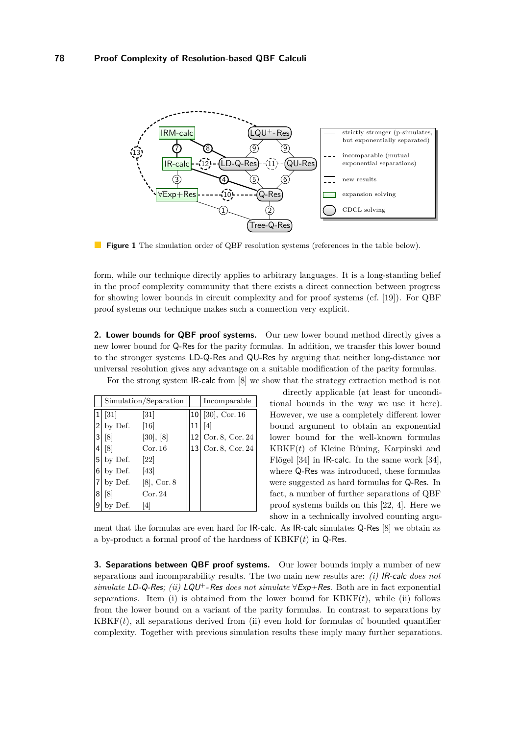<span id="page-2-0"></span>

**Figure 1** The simulation order of QBF resolution systems (references in the table below).

form, while our technique directly applies to arbitrary languages. It is a long-standing belief in the proof complexity community that there exists a direct connection between progress for showing lower bounds in circuit complexity and for proof systems (cf. [\[19\]](#page-12-15)). For QBF proof systems our technique makes such a connection very explicit.

**2. Lower bounds for QBF proof systems.** Our new lower bound method directly gives a new lower bound for Q-Res for the parity formulas. In addition, we transfer this lower bound to the stronger systems LD-Q-Res and QU-Res by arguing that neither long-distance nor universal resolution gives any advantage on a suitable modification of the parity formulas.

For the strong system IR-calc from [\[8\]](#page-12-9) we show that the strategy extraction method is not

|                | Simulation/Separation |                |    | Incomparable        |
|----------------|-----------------------|----------------|----|---------------------|
| 1              | $\left[31\right]$     | [31]           |    | $10 $ [30], Cor. 16 |
| $\overline{2}$ | by Def.               | [16]           | 11 | [4]                 |
| 3              | $\lceil 8 \rceil$     | [30], [8]      | 12 | Cor. 8, Cor. 24     |
| 4              | [8]                   | Cor. 16        | 13 | Cor. 8, Cor. 24     |
| 5              | by Def.               | [22]           |    |                     |
| 6              | by Def.               | [43]           |    |                     |
|                | by Def.               | $[8]$ , Cor. 8 |    |                     |
| 8              | [8]                   | Cor. 24        |    |                     |
| 9              | by Def.               | 4              |    |                     |

directly applicable (at least for unconditional bounds in the way we use it here). However, we use a completely different lower bound argument to obtain an exponential lower bound for the well-known formulas KBKF(*t*) of Kleine Büning, Karpinski and Flögel [\[34\]](#page-13-2) in IR-calc. In the same work [\[34\]](#page-13-2), where Q-Res was introduced, these formulas were suggested as hard formulas for Q-Res. In fact, a number of further separations of QBF proof systems builds on this [\[22,](#page-13-4) [4\]](#page-12-6). Here we show in a technically involved counting argu-

ment that the formulas are even hard for IR-calc. As IR-calc simulates Q-Res [\[8\]](#page-12-9) we obtain as a by-product a formal proof of the hardness of KBKF(*t*) in Q-Res.

**3. Separations between QBF proof systems.** Our lower bounds imply a number of new separations and incomparability results. The two main new results are: *(i)* IR-calc *does not simulate* LD-Q-Res; *(ii)* LQU<sup>+</sup>-Res *does not simulate*  $\forall$ Exp+Res. Both are in fact exponential separations. Item (i) is obtained from the lower bound for  $KBKF(t)$ , while (ii) follows from the lower bound on a variant of the parity formulas. In contrast to separations by  $KBKF(t)$ , all separations derived from (ii) even hold for formulas of bounded quantifier complexity. Together with previous simulation results these imply many further separations.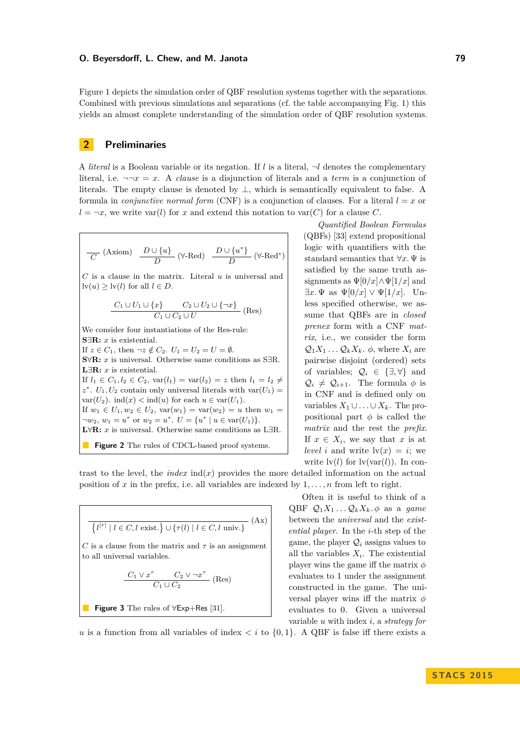Figure [1](#page-2-0) depicts the simulation order of QBF resolution systems together with the separations. Combined with previous simulations and separations (cf. the table accompanying Fig. [1\)](#page-2-0) this yields an almost complete understanding of the simulation order of QBF resolution systems.

## **2 Preliminaries**

A *literal* is a Boolean variable or its negation. If *l* is a literal,  $\neg l$  denotes the complementary literal, i.e.  $\neg\neg x = x$ . A *clause* is a disjunction of literals and a *term* is a conjunction of literals. The empty clause is denoted by  $\perp$ , which is semantically equivalent to false. A formula in *conjunctive normal form* (CNF) is a conjunction of clauses. For a literal  $l = x$  or  $l = \neg x$ , we write var(*l*) for *x* and extend this notation to var(*C*) for a clause *C*.

<span id="page-3-0"></span>
$$
\frac{D \cup \{u\}}{D} \quad (\text{Axiom}) \quad \frac{D \cup \{u\}}{D} \quad (\forall \text{-Red}) \quad \frac{D \cup \{u^*\}}{D} \quad (\forall \text{-Red}^*)
$$

*C* is a clause in the matrix. Literal *u* is universal and  $\text{lv}(u) > \text{lv}(l)$  for all  $l \in D$ .

$$
\frac{C_1 \cup U_1 \cup \{x\}}{C_1 \cup C_2 \cup U} \quad \text{(Res)}
$$

We consider four instantiations of the Res-rule: **S**∃**R:** *x* is existential. If  $z \in C_1$ , then  $\neg z \notin C_2$ .  $U_1 = U_2 = U = \emptyset$ . **S**∀**R:** *x* is universal. Otherwise same conditions as S∃R. **L**∃**R:** *x* is existential. If *l*<sub>1</sub> ∈ *C*<sub>1</sub>, *l*<sub>2</sub> ∈ *C*<sub>2</sub>, var(*l*<sub>1</sub>) = var(*l*<sub>2</sub>) = *z* then *l*<sub>1</sub> = *l*<sub>2</sub> ≠  $z^*$ .  $U_1, U_2$  contain only universal literals with var $(U_1)$  = var( $U_2$ ). ind(*x*) < ind(*u*) for each  $u \in \text{var}(U_1)$ . If  $w_1 \in U_1, w_2 \in U_2$ ,  $var(w_1) = var(w_2) = u$  then  $w_1 =$  $\neg w_2, w_1 = u^* \text{ or } w_2 = u^*. \ U = \{u^* \mid u \in \text{var}(U_1)\}.$ **L**∀**R:** *x* is universal. Otherwise same conditions as L∃R. **Figure 2** The rules of CDCL-based proof systems.

*Quantified Boolean Formulas* (QBFs) [\[33\]](#page-13-12) extend propositional logic with quantifiers with the standard semantics that ∀*x.* Ψ is satisfied by the same truth assignments as  $\Psi[0/x] \wedge \Psi[1/x]$  and  $\exists x.\Psi$  as  $\Psi[0/x] \vee \Psi[1/x]$ . Unless specified otherwise, we assume that QBFs are in *closed prenex* form with a CNF *matrix*, i.e., we consider the form  $\mathcal{Q}_1 X_1 \ldots \mathcal{Q}_k X_k$ *.*  $\phi$ *, where*  $X_i$  are pairwise disjoint (ordered) sets of variables;  $\mathcal{Q}_i \in \{\exists, \forall\}$  and  $\mathcal{Q}_i \neq \mathcal{Q}_{i+1}$ . The formula  $\phi$  is in CNF and is defined only on variables  $X_1$  ∪  $\ldots$  ∪  $X_k$ . The propositional part  $\phi$  is called the *matrix* and the rest the *prefix*. If  $x \in X_i$ , we say that  $x$  is at *level i* and write  $\text{lv}(x) = i$ ; we write  $\text{lv}(l)$  for  $\text{lv}(\text{var}(l))$ . In con-

trast to the level, the *index*  $ind(x)$  provides the more detailed information on the actual position of x in the prefix, i.e. all variables are indexed by  $1, \ldots, n$  from left to right.

<span id="page-3-1"></span>
$$
\overline{\{l^{[\tau]} \mid l \in C, l \text{ exist.}\} \cup \{\tau(l) \mid l \in C, l \text{ univ.}\}} \text{ (Ax)}
$$
  
*C* is a clause from the matrix and  $\tau$  is an assignment  
to all universal variables.  

$$
\frac{C_1 \vee x^{\tau}}{C_1 \cup C_2} \text{ (Res)}
$$

**Figure 3** The rules of 
$$
\forall
$$
Exp+Res [31].

Often it is useful to think of a  $QBF \mathcal{Q}_1X_1 \ldots \mathcal{Q}_kX_k \phi$  as a *game* between the *universal* and the *existential player*. In the *i*-th step of the game, the player  $Q_i$  assigns values to all the variables  $X_i$ . The existential player wins the game iff the matrix *φ* evaluates to 1 under the assignment constructed in the game. The universal player wins iff the matrix *φ* evaluates to 0. Given a universal variable *u* with index *i*, a *strategy for*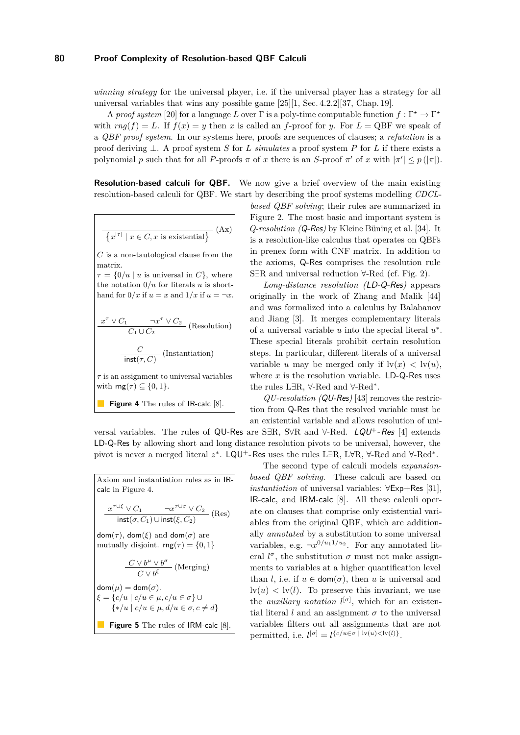*winning strategy* for the universal player, i.e. if the universal player has a strategy for all universal variables that wins any possible game [\[25\]](#page-13-13)[\[1,](#page-12-17) Sec. 4.2.2][\[37,](#page-13-14) Chap. 19].

A *proof system* [\[20\]](#page-12-0) for a language *L* over  $\Gamma$  is a poly-time computable function  $f : \Gamma^* \to \Gamma^*$ with  $rng(f) = L$ . If  $f(x) = y$  then x is called an f-proof for y. For  $L = QBF$  we speak of a *QBF proof system*. In our systems here, proofs are sequences of clauses; a *refutation* is a proof deriving ⊥. A proof system *S* for *L simulates* a proof system *P* for *L* if there exists a polynomial *p* such that for all *P*-proofs  $\pi$  of *x* there is an *S*-proof  $\pi'$  of *x* with  $|\pi'| \leq p(|\pi|)$ .

**Resolution-based calculi for QBF.** We now give a brief overview of the main existing resolution-based calculi for QBF. We start by describing the proof systems modelling *CDCL-*

<span id="page-4-0"></span>
$$
\overline{\{x^{[\tau]} \mid x \in C, x \text{ is existential}\}} \text{ (Ax)}
$$

*C* is a non-tautological clause from the matrix.

 $\tau = \{0/u \mid u$  is universal in *C*}, where the notation  $0/u$  for literals  $u$  is shorthand for  $0/x$  if  $u = x$  and  $1/x$  if  $u = \neg x$ .

 $\frac{x^{\tau} \vee C_1}{C_1 \cup C_2}$  (Resolution) *<sup>C</sup>* (Instantiation)

$$
inst(\tau, C)
$$

*τ* is an assignment to universal variables with  $\mathsf{rng}(\tau) \subseteq \{0,1\}.$ 

**Figure 4** The rules of IR-calc 
$$
[8]
$$
.

*based QBF solving*; their rules are summarized in Figure [2.](#page-3-0) The most basic and important system is *Q-resolution (*Q-Res*)* by Kleine Büning et al. [\[34\]](#page-13-2). It is a resolution-like calculus that operates on QBFs in prenex form with CNF matrix. In addition to the axioms, Q-Res comprises the resolution rule S∃R and universal reduction ∀-Red (cf. Fig. [2\)](#page-3-0).

*Long-distance resolution (*LD-Q-Res*)* appears originally in the work of Zhang and Malik [\[44\]](#page-13-15) and was formalized into a calculus by Balabanov and Jiang [\[3\]](#page-12-5). It merges complementary literals of a universal variable  $u$  into the special literal  $u^*$ . These special literals prohibit certain resolution steps. In particular, different literals of a universal variable *u* may be merged only if  $\text{lv}(x) < \text{lv}(u)$ , where  $x$  is the resolution variable.  $LD-Q$ -Res uses the rules L∃R, ∀-Red and ∀-Red<sup>∗</sup> .

*QU-resolution (*QU-Res*)* [\[43\]](#page-13-6) removes the restriction from Q-Res that the resolved variable must be an existential variable and allows resolution of uni-

versal variables. The rules of QU-Res are S∃R, S $\forall R$  and  $\forall$ -Red. LQU<sup>+</sup>-Res [\[4\]](#page-12-6) extends LD-Q-Res by allowing short and long distance resolution pivots to be universal, however, the pivot is never a merged literal z<sup>\*</sup>. LQU<sup>+</sup>-Res uses the rules L∃R, L∀R, ∀-Red and ∀-Red<sup>\*</sup>.

<span id="page-4-1"></span>Axiom and instantiation rules as in IRcalc in [Figure 4.](#page-4-0)  $\frac{x^{\tau \cup \xi} \vee C_1}{\mathsf{inst}(\sigma, C_1) \cup \mathsf{inst}(\xi, C_2)}$  (Res)  $dom(\tau)$ , dom( $\xi$ ) and dom( $\sigma$ ) are mutually disjoint.  $\mathsf{rng}(\tau) = \{0,1\}$  $\frac{C \vee b^{\mu} \vee b^{\sigma}}{C \vee b^{\xi}}$  (Merging)  $dom(\mu) = dom(\sigma)$ . *ξ* = {*c/u* | *c/u* ∈ *µ, c/u* ∈ *σ*} ∪  $\{*\prime u \mid c/u \in u, d/u \in \sigma, c \neq d\}$ **Figure 5** The rules of IRM-calc [\[8\]](#page-12-9).

The second type of calculi models *expansionbased QBF solving*. These calculi are based on *instantiation* of universal variables: ∀Exp+Res [\[31\]](#page-13-10), IR-calc, and IRM-calc [\[8\]](#page-12-9). All these calculi operate on clauses that comprise only existential variables from the original QBF, which are additionally *annotated* by a substitution to some universal variables, e.g.  $\neg x^{0/u_1 1/u_2}$ . For any annotated literal  $l^{\sigma}$ , the substitution  $\sigma$  must not make assignments to variables at a higher quantification level than *l*, i.e. if  $u \in \text{dom}(\sigma)$ , then *u* is universal and  $\mathrm{dv}(u) < \mathrm{dv}(l)$ . To preserve this invariant, we use the *auxiliary notation*  $l^{[\sigma]}$ , which for an existential literal *l* and an assignment  $\sigma$  to the universal variables filters out all assignments that are not permitted, i.e.  $l^{[\sigma]} = l^{\{c/u \in \sigma \mid \text{lv}(u) < \text{lv}(l)\}}$ .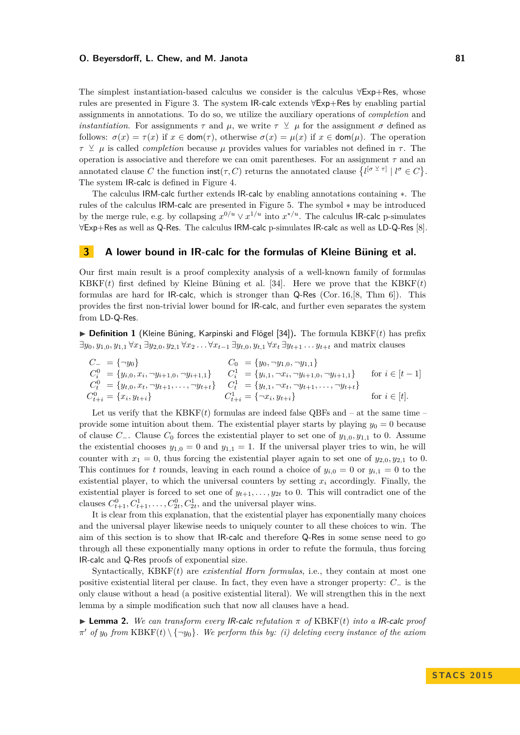The simplest instantiation-based calculus we consider is the calculus ∀Exp+Res, whose rules are presented in [Figure 3.](#page-3-1) The system IR-calc extends ∀Exp+Res by enabling partial assignments in annotations. To do so, we utilize the auxiliary operations of *completion* and *instantiation*. For assignments  $\tau$  and  $\mu$ , we write  $\tau \perp \mu$  for the assignment  $\sigma$  defined as follows:  $\sigma(x) = \tau(x)$  if  $x \in \text{dom}(\tau)$ , otherwise  $\sigma(x) = \mu(x)$  if  $x \in \text{dom}(\mu)$ . The operation *τ*  $\vee$  *μ* is called *completion* because *μ* provides values for variables not defined in *τ*. The operation is associative and therefore we can omit parentheses. For an assignment *τ* and an annotated clause C the function  $\text{inst}(\tau, C)$  returns the annotated clause  $\{l^{[\sigma \vee \tau]} \mid l^{\sigma} \in C\}.$ The system IR-calc is defined in [Figure 4.](#page-4-0)

The calculus IRM-calc further extends IR-calc by enabling annotations containing ∗. The rules of the calculus IRM-calc are presented in [Figure 5.](#page-4-1) The symbol ∗ may be introduced by the merge rule, e.g. by collapsing  $x^{0/u} \vee x^{1/u}$  into  $x^{*/u}$ . The calculus IR-calc p-simulates ∀Exp+Res as well as Q-Res. The calculus IRM-calc p-simulates IR-calc as well as LD-Q-Res [\[8\]](#page-12-9).

## **3 A lower bound in IR-calc for the formulas of Kleine Büning et al.**

Our first main result is a proof complexity analysis of a well-known family of formulas KBKF $(t)$  first defined by Kleine Büning et al. [\[34\]](#page-13-2). Here we prove that the KBKF $(t)$ formulas are hard for IR-calc, which is stronger than Q-Res (Cor. [16,](#page-9-1)[\[8,](#page-12-9) Thm 6]). This provides the first non-trivial lower bound for IR-calc, and further even separates the system from LD-Q-Res.

 $\triangleright$  **Definition 1** (Kleine Büning, Karpinski and Flögel [\[34\]](#page-13-2)). The formula KBKF(*t*) has prefix  $\exists y_0, y_{1,0}, y_{1,1} \forall x_1 \exists y_{2,0}, y_{2,1} \forall x_2 \dots \forall x_{t-1} \exists y_{t,0}, y_{t,1} \forall x_t \exists y_{t+1} \dots y_{t+t}$  and matrix clauses

$$
C_{-} = \{\neg y_{0}\}\n\qquad\nC_{0} = \{y_{0}, \neg y_{1,0}, \neg y_{1,1}\}\nC_{i}^{0} = \{y_{i,0}, x_{i}, \neg y_{i+1,0}, \neg y_{i+1,1}\}\nC_{i}^{1} = \{y_{i,1}, \neg x_{i}, \neg y_{i+1,0}, \neg y_{i+1,1}\}\n\qquad\n\text{for } i \in [t-1]\nC_{t}^{0} = \{y_{t,0}, x_{t}, \neg y_{t+1}, \dots, \neg y_{t+t}\}\nC_{t+i}^{1} = \{y_{t,1}, \neg x_{t}, \neg y_{t+1}, \dots, \neg y_{t+t}\}\nC_{t+i}^{1} = \{\neg x_{i}, y_{t+i}\}\n\qquad\n\text{for } i \in [t].
$$

Let us verify that the  $KBKF(t)$  formulas are indeed false QBFs and  $-$  at the same time  $$ provide some intuition about them. The existential player starts by playing  $y_0 = 0$  because of clause *C*−. Clause *C*<sup>0</sup> forces the existential player to set one of *y*1*,*0*, y*1*,*<sup>1</sup> to 0. Assume the existential chooses  $y_{1,0} = 0$  and  $y_{1,1} = 1$ . If the universal player tries to win, he will counter with  $x_1 = 0$ , thus forcing the existential player again to set one of  $y_{2,0}, y_{2,1}$  to 0. This continues for *t* rounds, leaving in each round a choice of  $y_{i,0} = 0$  or  $y_{i,1} = 0$  to the existential player, to which the universal counters by setting  $x_i$  accordingly. Finally, the existential player is forced to set one of  $y_{t+1}, \ldots, y_{2t}$  to 0. This will contradict one of the clauses  $C_{t+1}^0, C_{t+1}^1, \ldots, C_{2t}^0, C_{2t}^1$ , and the universal player wins.

It is clear from this explanation, that the existential player has exponentially many choices and the universal player likewise needs to uniquely counter to all these choices to win. The aim of this section is to show that IR-calc and therefore Q-Res in some sense need to go through all these exponentially many options in order to refute the formula, thus forcing IR-calc and Q-Res proofs of exponential size.

Syntactically, KBKF(*t*) are *existential Horn formulas*, i.e., they contain at most one positive existential literal per clause. In fact, they even have a stronger property: *C*<sup>−</sup> is the only clause without a head (a positive existential literal). We will strengthen this in the next lemma by a simple modification such that now all clauses have a head.

**Lemma 2.** We can transform every IR-calc refutation  $\pi$  of KBKF(*t*) into a IR-calc proof  $\pi'$  *of*  $y_0$  *from* KBKF(*t*)  $\setminus \{\neg y_0\}$ *. We perform this by: (i) deleting every instance of the axiom*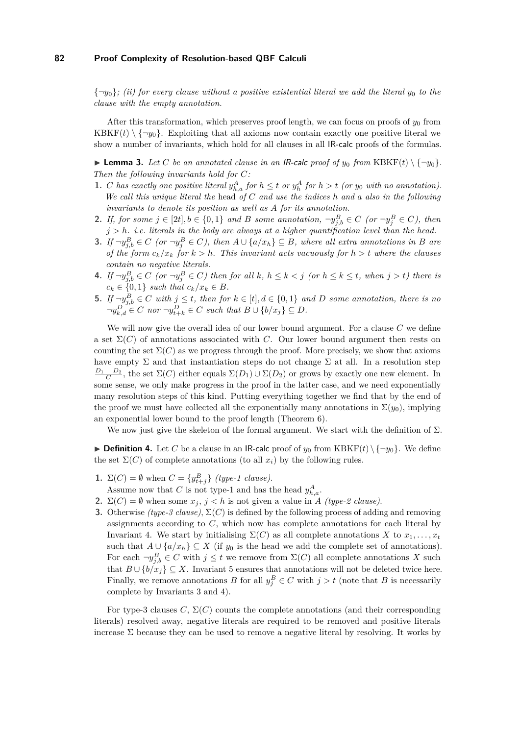${\lbrace \neg y_0 \rbrace}$ *; (ii) for every clause without a positive existential literal we add the literal*  $y_0$  *to the clause with the empty annotation.*

After this transformation, which preserves proof length, we can focus on proofs of  $y_0$  from KBKF $(t) \setminus \{\neg y_0\}$ . Exploiting that all axioms now contain exactly one positive literal we show a number of invariants, which hold for all clauses in all IR-calc proofs of the formulas.

**Example 3.** Let C be an annotated clause in an IR-calc proof of  $y_0$  from KBKF(t)  $\{\neg y_0\}$ . *Then the following invariants hold for C:*

- 1. C has exactly one positive literal  $y_{h,a}^A$  for  $h \leq t$  or  $y_h^A$  for  $h > t$  (or  $y_0$  with no annotation). *We call this unique literal the* head *of C and use the indices h and a also in the following invariants to denote its position as well as A for its annotation.*
- **2.** If, for some  $j \in [2t], b \in \{0,1\}$  and B some annotation,  $\neg y_{j,b}^B \in C$  (or  $\neg y_j^B \in C$ ), then *j > h. i.e. literals in the body are always at a higher quantification level than the head.*
- <span id="page-6-2"></span>**3.** If  $\neg y_{j,b}^B \in C$  (or  $\neg y_j^B \in C$ ), then  $A \cup \{a/x_h\} \subseteq B$ , where all extra annotations in B are *of the form*  $c_k/x_k$  *for*  $k > h$ *. This invariant acts vacuously for*  $h > t$  *where the clauses contain no negative literals.*
- <span id="page-6-0"></span>4. If  $\neg y_{j,b}^B \in C$  (or  $\neg y_j^B \in C$ ) then for all k,  $h \leq k < j$  (or  $h \leq k \leq t$ , when  $j > t$ ) there is  $c_k \in \{0, 1\}$  *such that*  $c_k / x_k \in B$ .
- <span id="page-6-1"></span>**5.** *If*  $\neg y_{j,b}^B \in C$  *with*  $j \le t$ *, then for*  $k \in [t], d \in \{0,1\}$  *and D some annotation, there is no*  $\neg y_{k,d}^D \in C$  *nor*  $\neg y_{t+k}^D \in C$  *such that*  $B \cup \{b/x_j\} \subseteq D$ .

We will now give the overall idea of our lower bound argument. For a clause *C* we define a set  $\Sigma(C)$  of annotations associated with *C*. Our lower bound argument then rests on counting the set  $\Sigma(C)$  as we progress through the proof. More precisely, we show that axioms have empty  $\Sigma$  and that instantiation steps do not change  $\Sigma$  at all. In a resolution step *D*<sub>1</sub> *D*<sub>2</sub>, the set  $\Sigma(C)$  either equals  $\Sigma(D_1) \cup \Sigma(D_2)$  or grows by exactly one new element. In some sense, we only make progress in the proof in the latter case, and we need exponentially many resolution steps of this kind. Putting everything together we find that by the end of the proof we must have collected all the exponentially many annotations in  $\Sigma(y_0)$ , implying an exponential lower bound to the proof length (Theorem [6\)](#page-7-1).

We now just give the skeleton of the formal argument. We start with the definition of  $\Sigma$ .

**Definition 4.** Let *C* be a clause in an IR-calc proof of  $y_0$  from KBKF(*t*)  $\{\neg y_0\}$ . We define the set  $\Sigma(C)$  of complete annotations (to all  $x_i$ ) by the following rules.

- **1.**  $\Sigma(C) = \emptyset$  when  $C = \{y_{t+j}^B\}$  *(type-1 clause)*.
- Assume now that *C* is not type-1 and has the head  $y_{h,a}^A$ .
- **2.**  $\Sigma(C) = \emptyset$  when some  $x_j$ ,  $j < h$  is not given a value in *A (type-2 clause)*.
- **3.** Otherwise *(type-3 clause)*,  $\Sigma(C)$  is defined by the following process of adding and removing assignments according to *C*, which now has complete annotations for each literal by Invariant [4.](#page-6-0) We start by initialising  $\Sigma(C)$  as all complete annotations *X* to  $x_1, \ldots, x_t$ such that  $A \cup \{a/x_h\} \subseteq X$  (if  $y_0$  is the head we add the complete set of annotations). For each  $\neg y_{j,b}^B \in C$  with  $j \leq t$  we remove from  $\Sigma(C)$  all complete annotations X such that  $B \cup \{b/x_j\} \subseteq X$ . Invariant [5](#page-6-1) ensures that annotations will not be deleted twice here. Finally, we remove annotations *B* for all  $y_j^B \in C$  with  $j > t$  (note that *B* is necessarily complete by Invariants [3](#page-6-2) and [4\)](#page-6-0).

For type-3 clauses  $C$ ,  $\Sigma(C)$  counts the complete annotations (and their corresponding literals) resolved away, negative literals are required to be removed and positive literals increase  $\Sigma$  because they can be used to remove a negative literal by resolving. It works by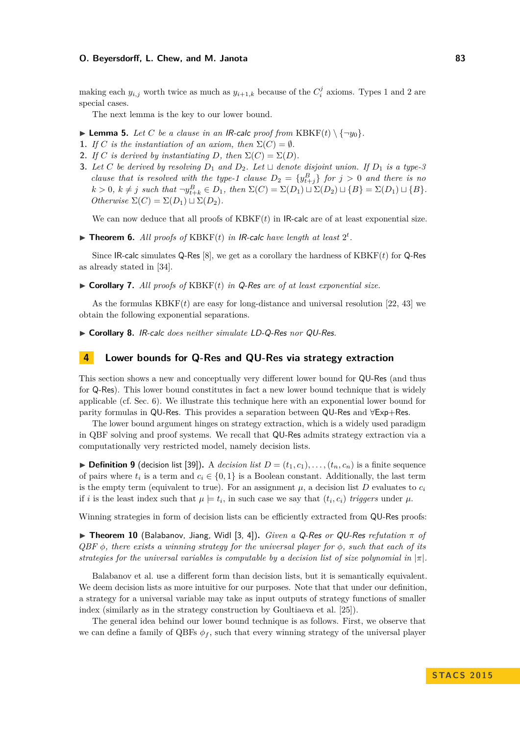making each  $y_{i,j}$  worth twice as much as  $y_{i+1,k}$  because of the  $C_i^j$  axioms. Types 1 and 2 are special cases.

The next lemma is the key to our lower bound.

- $\blacktriangleright$  **Lemma 5.** Let C be a clause in an IR-calc proof from KBKF(t) \  $\{\neg y_0\}$ .
- **1.** *If*  $C$  *is the instantiation of an axiom, then*  $\Sigma(C) = \emptyset$ *.*
- **2.** *If C is derived by instantiating D, then*  $\Sigma(C) = \Sigma(D)$ *.*
- **3.** Let C be derived by resolving  $D_1$  and  $D_2$ . Let  $\sqcup$  denote disjoint union. If  $D_1$  is a type-3 *clause that is resolved with the type-1 clause*  $D_2 = \{y_{t+j}^B\}$  *for*  $j > 0$  *and there is no*  $k > 0$ ,  $k \neq j$  such that  $\neg y_{t+k}^B \in D_1$ , then  $\Sigma(C) = \Sigma(D_1) \sqcup \Sigma(D_2) \sqcup \{B\} = \Sigma(D_1) \sqcup \{B\}.$  $Otherwise \Sigma(C) = \Sigma(D_1) \sqcup \Sigma(D_2).$

We can now deduce that all proofs of  $KBKF(t)$  in IR-calc are of at least exponential size.

<span id="page-7-1"></span> $\blacktriangleright$  **Theorem 6.** All proofs of KBKF(*t*) in IR-calc have length at least  $2^t$ .

Since IR-calc simulates Q-Res [\[8\]](#page-12-9), we get as a corollary the hardness of KBKF(*t*) for Q-Res as already stated in [\[34\]](#page-13-2).

I **Corollary 7.** *All proofs of* KBKF(*t*) *in* Q-Res *are of at least exponential size.*

As the formulas  $KBKF(t)$  are easy for long-distance and universal resolution [\[22,](#page-13-4) [43\]](#page-13-6) we obtain the following exponential separations.

<span id="page-7-0"></span>I **Corollary 8.** IR-calc *does neither simulate* LD-Q-Res *nor* QU-Res*.*

## <span id="page-7-3"></span>**4 Lower bounds for Q-Res and QU-Res via strategy extraction**

This section shows a new and conceptually very different lower bound for QU-Res (and thus for Q-Res). This lower bound constitutes in fact a new lower bound technique that is widely applicable (cf. Sec. [6\)](#page-10-1). We illustrate this technique here with an exponential lower bound for parity formulas in QU-Res. This provides a separation between QU-Res and ∀Exp+Res.

The lower bound argument hinges on strategy extraction, which is a widely used paradigm in QBF solving and proof systems. We recall that QU-Res admits strategy extraction via a computationally very restricted model, namely decision lists.

**Definition 9** (decision list [\[39\]](#page-13-16)). A *decision list*  $D = (t_1, c_1), \ldots, (t_n, c_n)$  is a finite sequence of pairs where  $t_i$  is a term and  $c_i \in \{0,1\}$  is a Boolean constant. Additionally, the last term is the empty term (equivalent to true). For an assignment  $\mu$ , a decision list  $D$  evaluates to  $c_i$ if *i* is the least index such that  $\mu \models t_i$ , in such case we say that  $(t_i, c_i)$  *triggers* under  $\mu$ .

Winning strategies in form of decision lists can be efficiently extracted from QU-Res proofs:

<span id="page-7-2"></span>I **Theorem 10** (Balabanov, Jiang, Widl [\[3,](#page-12-5) [4\]](#page-12-6))**.** *Given a* Q-Res *or* QU-Res *refutation π of QBF φ, there exists a winning strategy for the universal player for φ, such that each of its strategies for the universal variables is computable by a decision list of size polynomial in*  $|\pi|$ .

Balabanov et al. use a different form than decision lists, but it is semantically equivalent. We deem decision lists as more intuitive for our purposes. Note that that under our definition, a strategy for a universal variable may take as input outputs of strategy functions of smaller index (similarly as in the strategy construction by Goultiaeva et al. [\[25\]](#page-13-13)).

The general idea behind our lower bound technique is as follows. First, we observe that we can define a family of QBFs  $\phi_f$ , such that every winning strategy of the universal player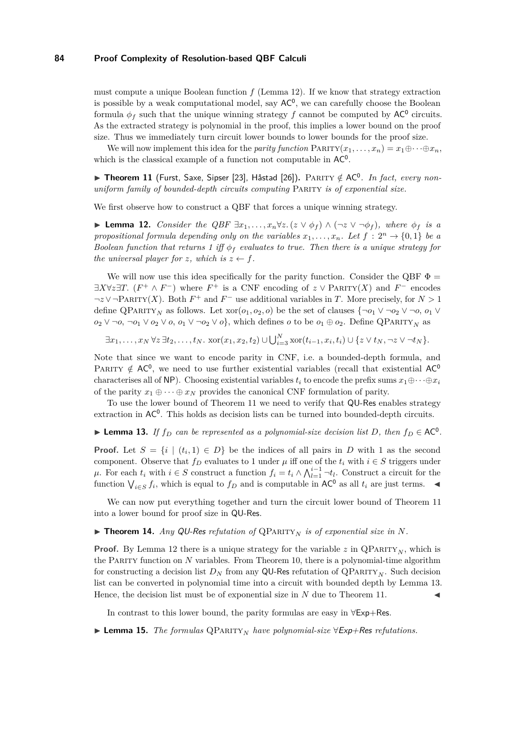must compute a unique Boolean function *f* (Lemma [12\)](#page-8-0). If we know that strategy extraction is possible by a weak computational model, say  $AC^0$ , we can carefully choose the Boolean formula  $\phi_f$  such that the unique winning strategy  $f$  cannot be computed by  $AC^0$  circuits. As the extracted strategy is polynomial in the proof, this implies a lower bound on the proof size. Thus we immediately turn circuit lower bounds to lower bounds for the proof size.

We will now implement this idea for the *parity function*  $\text{PARTY}(x_1, \ldots, x_n) = x_1 \oplus \cdots \oplus x_n$ , which is the classical example of a function not computable in  $AC^0$ .

<span id="page-8-1"></span>▶ Theorem 11 (Furst, Saxe, Sipser [\[23\]](#page-13-17), Håstad [\[26\]](#page-13-18)). PARITY ∉ AC<sup>0</sup>. In fact, every non*uniform family of bounded-depth circuits computing* Parity *is of exponential size.*

We first observe how to construct a QBF that forces a unique winning strategy.

<span id="page-8-0"></span>**► Lemma 12.** *Consider the QBF*  $\exists x_1, \ldots, x_n \forall z.$  ( $z \lor \phi_f$ )  $\land$  ( $\neg z \lor \neg \phi_f$ )*, where*  $\phi_f$  *is a propositional formula depending only on the variables*  $x_1, \ldots, x_n$ *. Let*  $f : 2^n \rightarrow \{0, 1\}$  *be a Boolean function that returns 1 iff*  $\phi_f$  *evaluates to true. Then there is a unique strategy for the universal player for z, which is*  $z \leftarrow f$ *.* 

We will now use this idea specifically for the parity function. Consider the QBF  $\Phi =$ ∃*X*∀*z*∃*T*. (*F*<sup>+</sup> ∧ *F*<sup>−</sup>) where *F*<sup>+</sup> is a CNF encoding of *z* ∨ PARITY(*X*) and *F*<sup>−</sup> encodes  $\neg z \vee \neg \text{PARTY}(X)$ . Both  $F^+$  and  $F^-$  use additional variables in *T*. More precisely, for  $N > 1$ define QPARITY<sub>N</sub> as follows. Let  $\operatorname{xor}(o_1, o_2, o)$  be the set of clauses  $\{\neg o_1 \lor \neg o_2 \lor \neg o, o_1 \lor \neg o_2 \lor \neg o$ *o*<sub>2</sub> ∨ ¬*o*, ¬*o*<sub>1</sub> ∨ *o*<sub>2</sub> ∨ *o*, *o*<sub>1</sub> ∨ ¬*o*<sub>2</sub> ∨ *o*<sup>1</sup>, which defines *o* to be *o*<sub>1</sub> ⊕ *o*<sub>2</sub>. Define QPARITY<sub>*N*</sub> as

 $\exists x_1,\ldots,x_N \forall z \exists t_2,\ldots,t_N. \ \text{xor}(x_1,x_2,t_2) \cup \bigcup_{i=3}^N \text{xor}(t_{i-1},x_i,t_i) \cup \{z \vee t_N, \neg z \vee \neg t_N\}.$ 

Note that since we want to encode parity in CNF, i.e. a bounded-depth formula, and PARITY  $\notin AC^0$ , we need to use further existential variables (recall that existential AC<sup>0</sup> characterises all of NP). Choosing existential variables  $t_i$  to encode the prefix sums  $x_1 \oplus \cdots \oplus x_i$ of the parity  $x_1 \oplus \cdots \oplus x_N$  provides the canonical CNF formulation of parity.

To use the lower bound of Theorem [11](#page-8-1) we need to verify that QU-Res enables strategy extraction in  $AC^0$ . This holds as decision lists can be turned into bounded-depth circuits.

<span id="page-8-2"></span>▶ **Lemma 13.** *If*  $f_D$  *can be represented as a polynomial-size decision list D, then*  $f_D$  ∈ AC<sup>0</sup>*.* 

**Proof.** Let  $S = \{i \mid (t_i, 1) \in D\}$  be the indices of all pairs in *D* with 1 as the second component. Observe that  $f_D$  evaluates to 1 under  $\mu$  iff one of the  $t_i$  with  $i \in S$  triggers under *µ*. For each  $t_i$  with  $i \in S$  construct a function  $f_i = t_i \wedge \bigwedge_{l=1}^{i-1} \neg t_l$ . Construct a circuit for the function  $\bigvee_{i \in S} f_i$ , which is equal to  $f_D$  and is computable in AC<sup>0</sup> as all  $t_i$  are just terms.

We can now put everything together and turn the circuit lower bound of Theorem [11](#page-8-1) into a lower bound for proof size in QU-Res.

<span id="page-8-3"></span> $\triangleright$  **Theorem 14.** *Any* QU-Res *refutation of* QPARITY<sub>N</sub> *is of exponential size in* N.

**Proof.** By Lemma [12](#page-8-0) there is a unique strategy for the variable  $z$  in  $\mathbf{Q} \mathbf{P} \mathbf{A} \mathbf{R} \mathbf{I} \mathbf{Y}_N$ , which is the Parity function on *N* variables. From Theorem [10,](#page-7-2) there is a polynomial-time algorithm for constructing a decision list  $D_N$  from any QU-Res refutation of QPARITY<sub>N</sub>. Such decision list can be converted in polynomial time into a circuit with bounded depth by Lemma [13.](#page-8-2) Hence, the decision list must be of exponential size in  $N$  due to Theorem [11.](#page-8-1)

In contrast to this lower bound, the parity formulas are easy in ∀Exp+Res.

<span id="page-8-4"></span>**► Lemma 15.** *The formulas* QPARITY<sub>N</sub> have polynomial-size  $\forall$  Exp+Res refutations.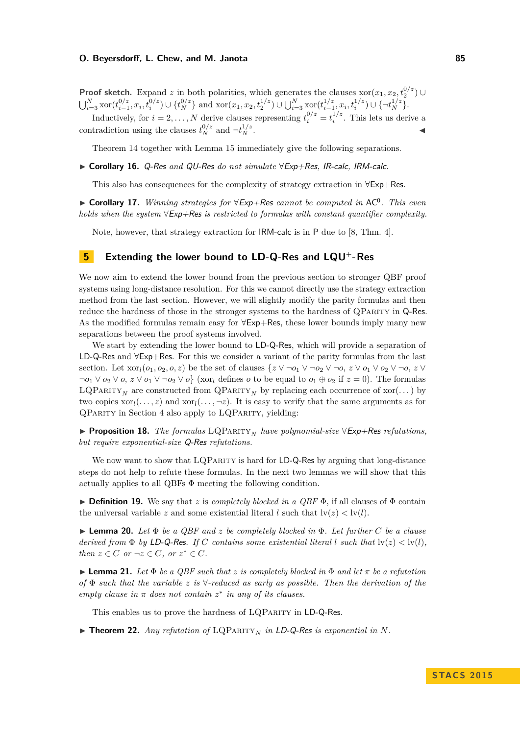**Proof sketch.** Expand *z* in both polarities, which generates the clauses xor $(x_1, x_2, t_2^{0/z})$ **From sketch.** Expand 2 in both polarities, which generates the clauses  $x_0$  ( $x_1, x_2, t_2$ )<br> $\bigcup_{i=3}^N x_0$   $(t_{i-1}^{0/z}, x_i, t_i^{0/z}) \cup \{t_N^{0/z}\}\$  and  $x_0(x_1, x_2, t_2^{1/z}) \cup \bigcup_{i=3}^N x_0$  $(t_{i-1}^{1/z}, x_i, t_i^{1/z}) \cup \{\neg t_N^{1/z}\}.$ Inductively, for  $i = 2, ..., N$  derive clauses representing  $t_i^{0/z} = t_i^{1/z}$ . This lets us derive a

contradiction using the clauses  $t_N^{0/z}$  and  $-t_N^{1/z}$  $\frac{1}{z}$  .

Theorem [14](#page-8-3) together with Lemma [15](#page-8-4) immediately give the following separations.

<span id="page-9-1"></span>I **Corollary 16.** Q-Res *and* QU-Res *do not simulate* ∀Exp+Res*,* IR-calc*,* IRM-calc*.*

This also has consequences for the complexity of strategy extraction in ∀Exp+Res.

I **Corollary 17.** *Winning strategies for* ∀Exp+Res *cannot be computed in* AC<sup>0</sup> *. This even holds when the system* ∀Exp+Res *is restricted to formulas with constant quantifier complexity.*

Note, however, that strategy extraction for IRM-calc is in P due to [\[8,](#page-12-9) Thm. 4].

# <span id="page-9-0"></span>**5 Extending the lower bound to LD-Q-Res and LQU**<sup>+</sup>**-Res**

We now aim to extend the lower bound from the previous section to stronger QBF proof systems using long-distance resolution. For this we cannot directly use the strategy extraction method from the last section. However, we will slightly modify the parity formulas and then reduce the hardness of those in the stronger systems to the hardness of QPARITY in Q-Res. As the modified formulas remain easy for ∀Exp+Res, these lower bounds imply many new separations between the proof systems involved.

We start by extending the lower bound to LD-Q-Res, which will provide a separation of LD-Q-Res and ∀Exp+Res. For this we consider a variant of the parity formulas from the last section. Let  $\text{xor}_l(o_1, o_2, o, z)$  be the set of clauses  $\{z \vee \neg o_1 \vee \neg o_2 \vee \neg o, z \vee o_1 \vee o_2 \vee \neg o, z \vee o_2 \vee \neg o$  $\neg o_1 \lor o_2 \lor o$ ,  $z \lor o_1 \lor \neg o_2 \lor o$  (xor<sub>l</sub> defines *o* to be equal to  $o_1 \oplus o_2$  if  $z = 0$ ). The formulas LQPARITY<sub>N</sub> are constructed from  $\mathbf{QP}$ ARITY<sub>N</sub> by replacing each occurrence of xor(...) by two copies  $\text{xor}_l(\ldots, z)$  and  $\text{xor}_l(\ldots, \neg z)$ . It is easy to verify that the same arguments as for QParity in Section [4](#page-7-3) also apply to LQParity, yielding:

<span id="page-9-3"></span>I **Proposition 18.** *The formulas* LQParity*<sup>N</sup> have polynomial-size* ∀Exp+Res *refutations, but require exponential-size* Q-Res *refutations.*

We now want to show that LQPARITY is hard for LD-Q-Res by arguing that long-distance steps do not help to refute these formulas. In the next two lemmas we will show that this actually applies to all QBFs Φ meeting the following condition.

**Definition 19.** We say that *z* is *completely blocked in a QBF*  $\Phi$ , if all clauses of  $\Phi$  contain the universal variable *z* and some existential literal *l* such that  $\text{lv}(z) < \text{lv}(l)$ .

I **Lemma 20.** *Let* Φ *be a QBF and z be completely blocked in* Φ*. Let further C be a clause derived from*  $\Phi$  *by* LD-Q-Res. If C contains some existential literal  $l$  such that  $\text{lv}(z) < \text{lv}(l)$ , *then*  $z \in C$  *or*  $\neg z \in C$ *, or*  $z^* \in C$ *.* 

<span id="page-9-2"></span>**I Lemma 21.** Let  $\Phi$  be a QBF such that z is completely blocked in  $\Phi$  and let  $\pi$  be a refutation *of* Φ *such that the variable z is* ∀*-reduced as early as possible. Then the derivation of the empty clause in*  $\pi$  *does not contain*  $z^*$  *in any of its clauses.* 

This enables us to prove the hardness of LQPARITY in LD-Q-Res.

 $\triangleright$  **Theorem 22.** *Any refutation of* LQPARITY<sub>N</sub> *in* LD-Q-Res *is exponential in* N.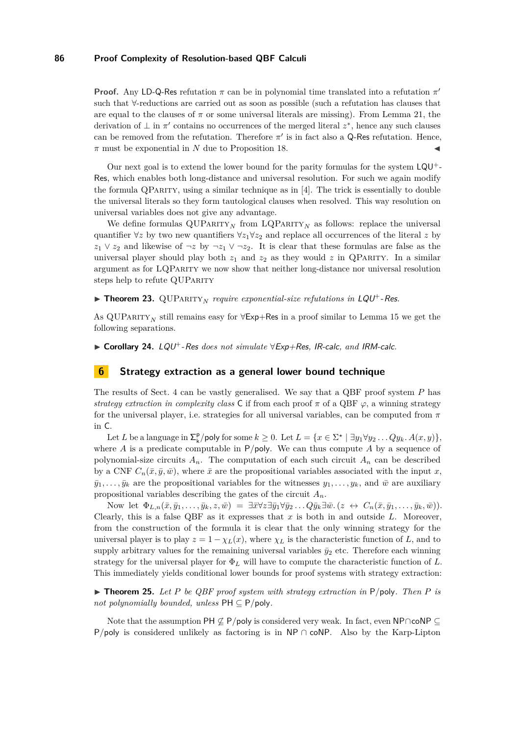**Proof.** Any LD-Q-Res refutation  $\pi$  can be in polynomial time translated into a refutation  $\pi'$ such that ∀-reductions are carried out as soon as possible (such a refutation has clauses that are equal to the clauses of  $\pi$  or some universal literals are missing). From Lemma [21,](#page-9-2) the derivation of  $\perp$  in  $\pi'$  contains no occurrences of the merged literal  $z^*$ , hence any such clauses can be removed from the refutation. Therefore  $\pi'$  is in fact also a Q-Res refutation. Hence,  $\pi$  must be exponential in *N* due to Proposition [18.](#page-9-3)

Our next goal is to extend the lower bound for the parity formulas for the system LQU+- Res, which enables both long-distance and universal resolution. For such we again modify the formula  $\mathbb{Q}$ PARITY, using a similar technique as in [\[4\]](#page-12-6). The trick is essentially to double the universal literals so they form tautological clauses when resolved. This way resolution on universal variables does not give any advantage.

We define formulas  $\text{QUPARTY}_N$  from  $\text{LQPARTY}_N$  as follows: replace the universal quantifier  $\forall z$  by two new quantifiers  $\forall z_1 \forall z_2$  and replace all occurrences of the literal z by *z*<sub>1</sub> ∨ *z*<sub>2</sub> and likewise of  $\neg z$  by  $\neg z_1$  ∨  $\neg z_2$ . It is clear that these formulas are false as the universal player should play both  $z_1$  and  $z_2$  as they would  $z$  in QPARITY. In a similar argument as for LQParity we now show that neither long-distance nor universal resolution steps help to refute QUPARITY

**Theorem 23.** QUPARITY<sub>N</sub> require exponential-size refutations in  $LQU^+$ -Res.

As QUPARITY<sub>N</sub> still remains easy for  $\forall$ Exp+Res in a proof similar to Lemma [15](#page-8-4) we get the following separations.

<span id="page-10-0"></span>I **Corollary 24.** LQU+-Res *does not simulate* ∀Exp+Res*,* IR-calc*, and* IRM-calc*.*

## <span id="page-10-1"></span>**6 Strategy extraction as a general lower bound technique**

The results of Sect. [4](#page-7-3) can be vastly generalised. We say that a QBF proof system *P* has *strategy extraction in complexity class* C if from each proof  $\pi$  of a QBF  $\varphi$ , a winning strategy for the universal player, i.e. strategies for all universal variables, can be computed from *π* in C.

Let *L* be a language in  $\sum_{k}^{p}$ /poly for some  $k \geq 0$ . Let  $L = \{x \in \sum^{\star} | \exists y_1 \forall y_2 \dots Q y_k, A(x, y) \},$ where *A* is a predicate computable in P*/*poly. We can thus compute *A* by a sequence of polynomial-size circuits  $A_n$ . The computation of each such circuit  $A_n$  can be described by a CNF  $C_n(\bar{x}, \bar{y}, \bar{w})$ , where  $\bar{x}$  are the propositional variables associated with the input *x*,  $\bar{y}_1, \ldots, \bar{y}_k$  are the propositional variables for the witnesses  $y_1, \ldots, y_k$ , and  $\bar{w}$  are auxiliary propositional variables describing the gates of the circuit *An*.

Now let  $\Phi_{L,n}(\bar{x}, \bar{y}_1, \ldots, \bar{y}_k, z, \bar{w}) = \exists \bar{x} \forall z \exists \bar{y}_1 \forall \bar{y}_2 \ldots Q \bar{y}_k \exists \bar{w}. (z \leftrightarrow C_n(\bar{x}, \bar{y}_1, \ldots, \bar{y}_k, \bar{w})).$ Clearly, this is a false QBF as it expresses that *x* is both in and outside *L*. Moreover, from the construction of the formula it is clear that the only winning strategy for the universal player is to play  $z = 1 - \chi_L(x)$ , where  $\chi_L$  is the characteristic function of *L*, and to supply arbitrary values for the remaining universal variables  $\bar{y}_2$  etc. Therefore each winning strategy for the universal player for Φ*<sup>L</sup>* will have to compute the characteristic function of *L*. This immediately yields conditional lower bounds for proof systems with strategy extraction:

<span id="page-10-2"></span> $\triangleright$  **Theorem 25.** Let P be QBF proof system with strategy extraction in P/poly. Then P is *not polynomially bounded, unless*  $PH \subseteq P/poly$ *.* 

Note that the assumption PH  $\mathcal{Q}$  P/poly is considered very weak. In fact, even NP∩coNP ⊆ P/poly is considered unlikely as factoring is in NP ∩ coNP. Also by the Karp-Lipton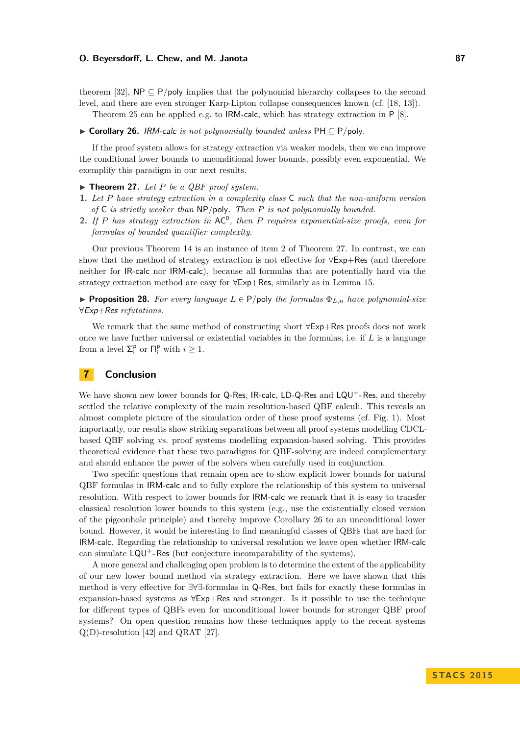theorem [\[32\]](#page-13-19),  $NP \subseteq P/poly$  implies that the polynomial hierarchy collapses to the second level, and there are even stronger Karp-Lipton collapse consequences known (cf. [\[18,](#page-12-18) [13\]](#page-12-19)).

Theorem [25](#page-10-2) can be applied e.g. to IRM-calc, which has strategy extraction in P [\[8\]](#page-12-9).

#### <span id="page-11-1"></span>I **Corollary 26.** IRM-calc *is not polynomially bounded unless* PH ⊆ P*/*poly*.*

If the proof system allows for strategy extraction via weaker models, then we can improve the conditional lower bounds to unconditional lower bounds, possibly even exponential. We exemplify this paradigm in our next results.

## <span id="page-11-0"></span> $\blacktriangleright$  **Theorem 27.** Let P be a QBF proof system.

- **1.** *Let P have strategy extraction in a complexity class* C *such that the non-uniform version of* C *is strictly weaker than* NP*/*poly*. Then P is not polynomially bounded.*
- **2.** If P has strategy extraction in  $AC^0$ , then P requires exponential-size proofs, even for *formulas of bounded quantifier complexity.*

Our previous Theorem [14](#page-8-3) is an instance of item 2 of Theorem [27.](#page-11-0) In contrast, we can show that the method of strategy extraction is not effective for ∀Exp+Res (and therefore neither for IR-calc nor IRM-calc), because all formulas that are potentially hard via the strategy extraction method are easy for ∀Exp+Res, similarly as in Lemma [15.](#page-8-4)

**Proposition 28.** For every language  $L \in P$ /poly the formulas  $\Phi_{L,n}$  have polynomial-size ∀Exp+Res *refutations.*

We remark that the same method of constructing short ∀Exp+Res proofs does not work once we have further universal or existential variables in the formulas, i.e. if *L* is a language from a level  $\Sigma_i^{\mathsf{p}}$  or  $\Pi_i^{\mathsf{p}}$  with  $i \geq 1$ .

## **7 Conclusion**

We have shown new lower bounds for Q-Res, IR-calc, LD-Q-Res and LQU<sup>+</sup>-Res, and thereby settled the relative complexity of the main resolution-based QBF calculi. This reveals an almost complete picture of the simulation order of these proof systems (cf. Fig. [1\)](#page-2-0). Most importantly, our results show striking separations between all proof systems modelling CDCLbased QBF solving vs. proof systems modelling expansion-based solving. This provides theoretical evidence that these two paradigms for QBF-solving are indeed complementary and should enhance the power of the solvers when carefully used in conjunction.

Two specific questions that remain open are to show explicit lower bounds for natural QBF formulas in IRM-calc and to fully explore the relationship of this system to universal resolution. With respect to lower bounds for IRM-calc we remark that it is easy to transfer classical resolution lower bounds to this system (e.g., use the existentially closed version of the pigeonhole principle) and thereby improve Corollary [26](#page-11-1) to an unconditional lower bound. However, it would be interesting to find meaningful classes of QBFs that are hard for IRM-calc. Regarding the relationship to universal resolution we leave open whether IRM-calc can simulate  $LQU^+$ -Res (but conjecture incomparability of the systems).

A more general and challenging open problem is to determine the extent of the applicability of our new lower bound method via strategy extraction. Here we have shown that this method is very effective for ∃∀∃-formulas in Q-Res, but fails for exactly these formulas in expansion-based systems as ∀Exp+Res and stronger. Is it possible to use the technique for different types of QBFs even for unconditional lower bounds for stronger QBF proof systems? On open question remains how these techniques apply to the recent systems Q(D)-resolution [\[42\]](#page-13-20) and QRAT [\[27\]](#page-13-21).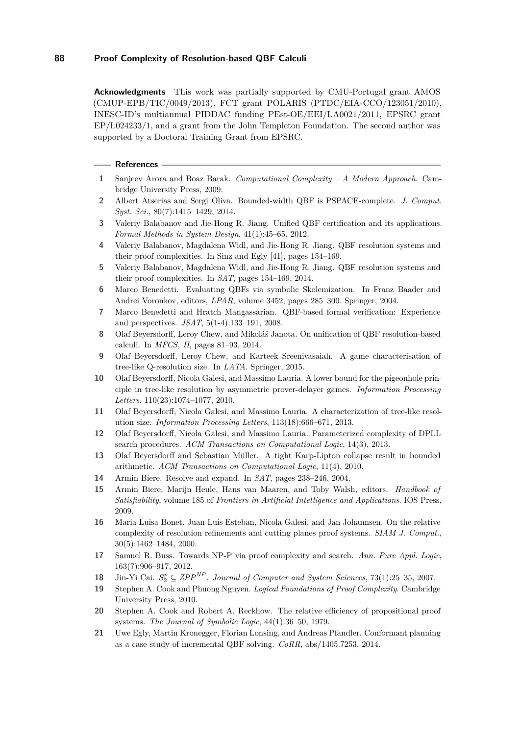**Acknowledgments** This work was partially supported by CMU-Portugal grant AMOS (CMUP-EPB/TIC/0049/2013), FCT grant POLARIS (PTDC/EIA-CCO/123051/2010), INESC-ID's multiannual PIDDAC funding PEst-OE/EEI/LA0021/2011, EPSRC grant EP/L024233/1, and a grant from the John Templeton Foundation. The second author was supported by a Doctoral Training Grant from EPSRC.

#### **References**

- <span id="page-12-17"></span>**1** Sanjeev Arora and Boaz Barak. *Computational Complexity – A Modern Approach*. Cambridge University Press, 2009.
- <span id="page-12-2"></span>**2** Albert Atserias and Sergi Oliva. Bounded-width QBF is PSPACE-complete. *J. Comput. Syst. Sci.*, 80(7):1415–1429, 2014.
- <span id="page-12-5"></span>**3** Valeriy Balabanov and Jie-Hong R. Jiang. Unified QBF certification and its applications. *Formal Methods in System Design*, 41(1):45–65, 2012.
- <span id="page-12-6"></span>**4** Valeriy Balabanov, Magdalena Widl, and Jie-Hong R. Jiang. QBF resolution systems and their proof complexities. In Sinz and Egly [\[41\]](#page-13-22), pages 154–169.
- <span id="page-12-14"></span>**5** Valeriy Balabanov, Magdalena Widl, and Jie-Hong R. Jiang. QBF resolution systems and their proof complexities. In *SAT*, pages 154–169, 2014.
- <span id="page-12-8"></span>**6** Marco Benedetti. Evaluating QBFs via symbolic Skolemization. In Franz Baader and Andrei Voronkov, editors, *LPAR*, volume 3452, pages 285–300. Springer, 2004.
- <span id="page-12-3"></span>**7** Marco Benedetti and Hratch Mangassarian. QBF-based formal verification: Experience and perspectives. *JSAT*, 5(1-4):133–191, 2008.
- <span id="page-12-9"></span>**8** Olaf Beyersdorff, Leroy Chew, and Mikoláš Janota. On unification of QBF resolution-based calculi. In *MFCS, II*, pages 81–93, 2014.
- <span id="page-12-10"></span>**9** Olaf Beyersdorff, Leroy Chew, and Karteek Sreenivasaiah. A game characterisation of tree-like Q-resolution size. In *LATA*. Springer, 2015.
- <span id="page-12-11"></span>**10** Olaf Beyersdorff, Nicola Galesi, and Massimo Lauria. A lower bound for the pigeonhole principle in tree-like resolution by asymmetric prover-delayer games. *Information Processing Letters*, 110(23):1074–1077, 2010.
- <span id="page-12-12"></span>**11** Olaf Beyersdorff, Nicola Galesi, and Massimo Lauria. A characterization of tree-like resolution size. *Information Processing Letters*, 113(18):666–671, 2013.
- <span id="page-12-13"></span>**12** Olaf Beyersdorff, Nicola Galesi, and Massimo Lauria. Parameterized complexity of DPLL search procedures. *ACM Transactions on Computational Logic*, 14(3), 2013.
- <span id="page-12-19"></span>**13** Olaf Beyersdorff and Sebastian Müller. A tight Karp-Lipton collapse result in bounded arithmetic. *ACM Transactions on Computational Logic*, 11(4), 2010.
- <span id="page-12-7"></span>**14** Armin Biere. Resolve and expand. In *SAT*, pages 238–246, 2004.
- <span id="page-12-20"></span>**15** Armin Biere, Marijn Heule, Hans van Maaren, and Toby Walsh, editors. *Handbook of Satisfiability*, volume 185 of *Frontiers in Artificial Intelligence and Applications*. IOS Press, 2009.
- <span id="page-12-16"></span>**16** Maria Luisa Bonet, Juan Luis Esteban, Nicola Galesi, and Jan Johannsen. On the relative complexity of resolution refinements and cutting planes proof systems. *SIAM J. Comput.*, 30(5):1462–1484, 2000.
- <span id="page-12-1"></span>**17** Samuel R. Buss. Towards NP-P via proof complexity and search. *Ann. Pure Appl. Logic*, 163(7):906–917, 2012.
- <span id="page-12-18"></span>**18** Jin-Yi Cai.  $S_2^p \subseteq ZPP^{NP}$ . *Journal of Computer and System Sciences*, 73(1):25–35, 2007.
- <span id="page-12-15"></span>**19** Stephen A. Cook and Phuong Nguyen. *Logical Foundations of Proof Complexity*. Cambridge University Press, 2010.
- <span id="page-12-0"></span>**20** Stephen A. Cook and Robert A. Reckhow. The relative efficiency of propositional proof systems. *The Journal of Symbolic Logic*, 44(1):36–50, 1979.
- <span id="page-12-4"></span>**21** Uwe Egly, Martin Kronegger, Florian Lonsing, and Andreas Pfandler. Conformant planning as a case study of incremental QBF solving. *CoRR*, abs/1405.7253, 2014.